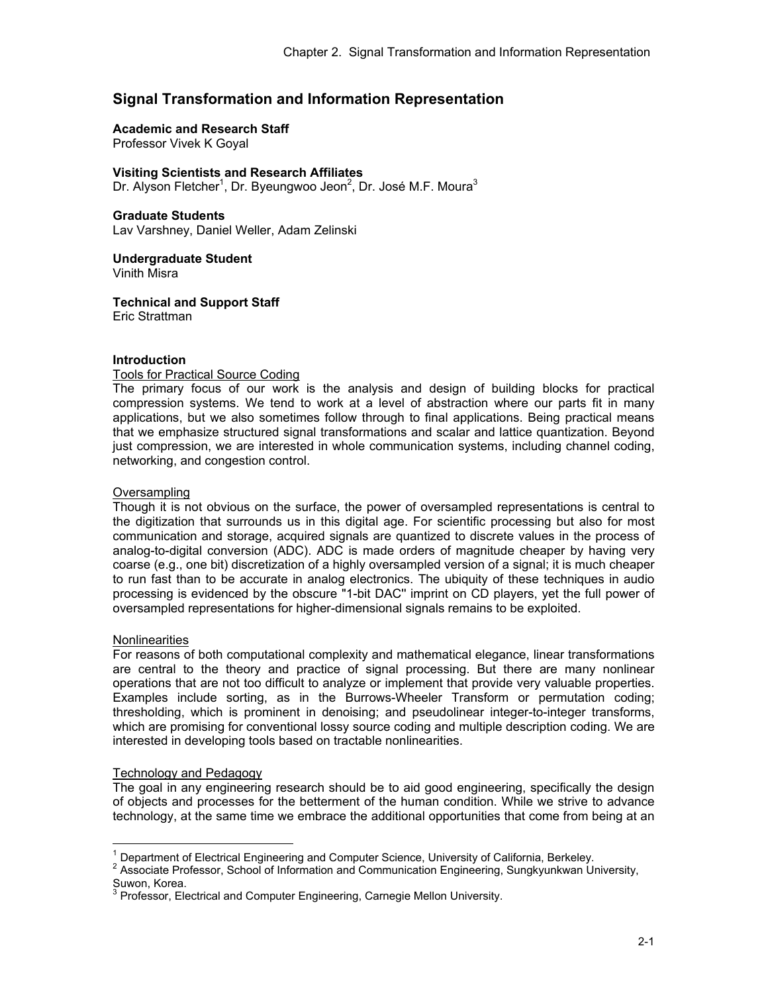# **Signal Transformation and Information Representation**

# **Academic and Research Staff**

Professor Vivek K Goyal

#### **Visiting Scientists and Research Affiliates**

Dr. Alyson Fletcher<sup>1</sup>, Dr. Byeungwoo Jeon<sup>2</sup>, Dr. José M.F. Moura<sup>3</sup>

#### **Graduate Students**

Lav Varshney, Daniel Weller, Adam Zelinski

**Undergraduate Student**  Vinith Misra

**Technical and Support Staff**  Eric Strattman

# **Introduction**

# Tools for Practical Source Coding

The primary focus of our work is the analysis and design of building blocks for practical compression systems. We tend to work at a level of abstraction where our parts fit in many applications, but we also sometimes follow through to final applications. Being practical means that we emphasize structured signal transformations and scalar and lattice quantization. Beyond just compression, we are interested in whole communication systems, including channel coding, networking, and congestion control.

#### **Oversampling**

Though it is not obvious on the surface, the power of oversampled representations is central to the digitization that surrounds us in this digital age. For scientific processing but also for most communication and storage, acquired signals are quantized to discrete values in the process of analog-to-digital conversion (ADC). ADC is made orders of magnitude cheaper by having very coarse (e.g., one bit) discretization of a highly oversampled version of a signal; it is much cheaper to run fast than to be accurate in analog electronics. The ubiquity of these techniques in audio processing is evidenced by the obscure "1-bit DAC'' imprint on CD players, yet the full power of oversampled representations for higher-dimensional signals remains to be exploited.

# **Nonlinearities**

 $\overline{a}$ 

For reasons of both computational complexity and mathematical elegance, linear transformations are central to the theory and practice of signal processing. But there are many nonlinear operations that are not too difficult to analyze or implement that provide very valuable properties. Examples include sorting, as in the Burrows-Wheeler Transform or permutation coding; thresholding, which is prominent in denoising; and pseudolinear integer-to-integer transforms, which are promising for conventional lossy source coding and multiple description coding. We are interested in developing tools based on tractable nonlinearities.

# Technology and Pedagogy

The goal in any engineering research should be to aid good engineering, specifically the design of objects and processes for the betterment of the human condition. While we strive to advance technology, at the same time we embrace the additional opportunities that come from being at an

<sup>&</sup>lt;sup>1</sup> Department of Electrical Engineering and Computer Science. University of California. Berkeley.

<sup>&</sup>lt;sup>1</sup> Department of Electrical Engineering and Computer Science, University of California, Berkeley.<br><sup>2</sup> Associate Professor, School of Information and Communication Engineering, Sungkyunkwan University, Suwon, Korea.<br><sup>3</sup> Professor, Ele

Professor, Electrical and Computer Engineering, Carnegie Mellon University.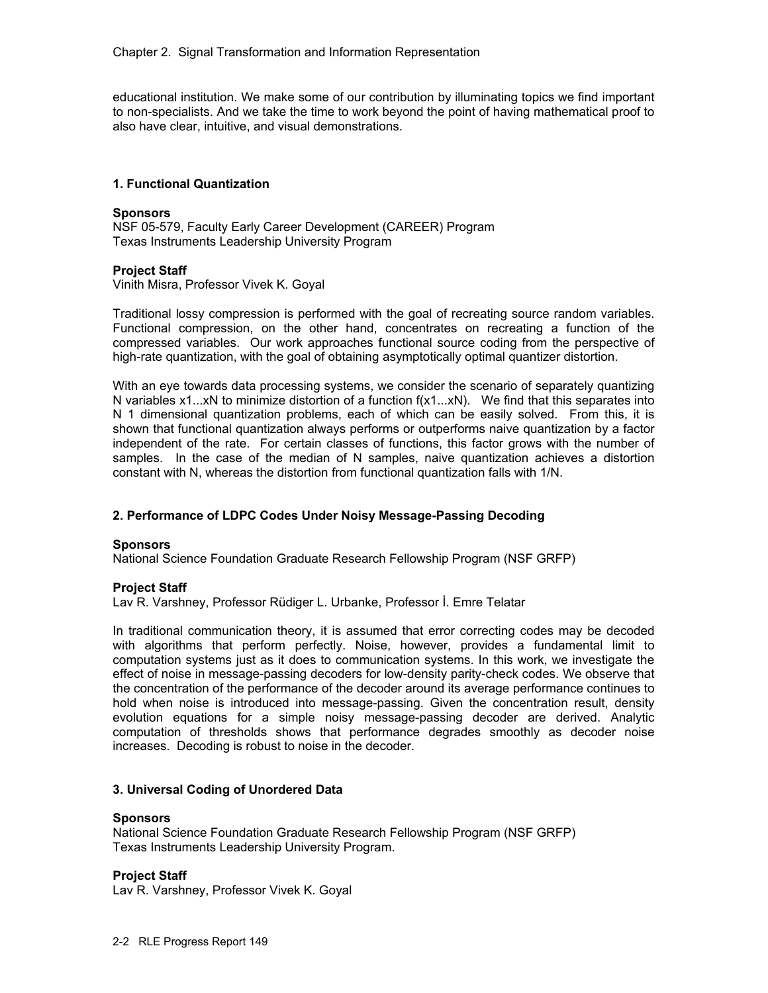educational institution. We make some of our contribution by illuminating topics we find important to non-specialists. And we take the time to work beyond the point of having mathematical proof to also have clear, intuitive, and visual demonstrations.

# **1. Functional Quantization**

#### **Sponsors**

NSF 05-579, Faculty Early Career Development (CAREER) Program Texas Instruments Leadership University Program

# **Project Staff**

Vinith Misra, Professor Vivek K. Goyal

Traditional lossy compression is performed with the goal of recreating source random variables. Functional compression, on the other hand, concentrates on recreating a function of the compressed variables. Our work approaches functional source coding from the perspective of high-rate quantization, with the goal of obtaining asymptotically optimal quantizer distortion.

With an eye towards data processing systems, we consider the scenario of separately quantizing N variables x1...xN to minimize distortion of a function f(x1...xN). We find that this separates into N 1 dimensional quantization problems, each of which can be easily solved. From this, it is shown that functional quantization always performs or outperforms naive quantization by a factor independent of the rate. For certain classes of functions, this factor grows with the number of samples. In the case of the median of N samples, naive quantization achieves a distortion constant with N, whereas the distortion from functional quantization falls with 1/N.

# **2. Performance of LDPC Codes Under Noisy Message-Passing Decoding**

# **Sponsors**

National Science Foundation Graduate Research Fellowship Program (NSF GRFP)

# **Project Staff**

Lav R. Varshney, Professor Rüdiger L. Urbanke, Professor İ. Emre Telatar

In traditional communication theory, it is assumed that error correcting codes may be decoded with algorithms that perform perfectly. Noise, however, provides a fundamental limit to computation systems just as it does to communication systems. In this work, we investigate the effect of noise in message-passing decoders for low-density parity-check codes. We observe that the concentration of the performance of the decoder around its average performance continues to hold when noise is introduced into message-passing. Given the concentration result, density evolution equations for a simple noisy message-passing decoder are derived. Analytic computation of thresholds shows that performance degrades smoothly as decoder noise increases. Decoding is robust to noise in the decoder.

# **3. Universal Coding of Unordered Data**

#### **Sponsors**

National Science Foundation Graduate Research Fellowship Program (NSF GRFP) Texas Instruments Leadership University Program.

# **Project Staff**

Lav R. Varshney, Professor Vivek K. Goyal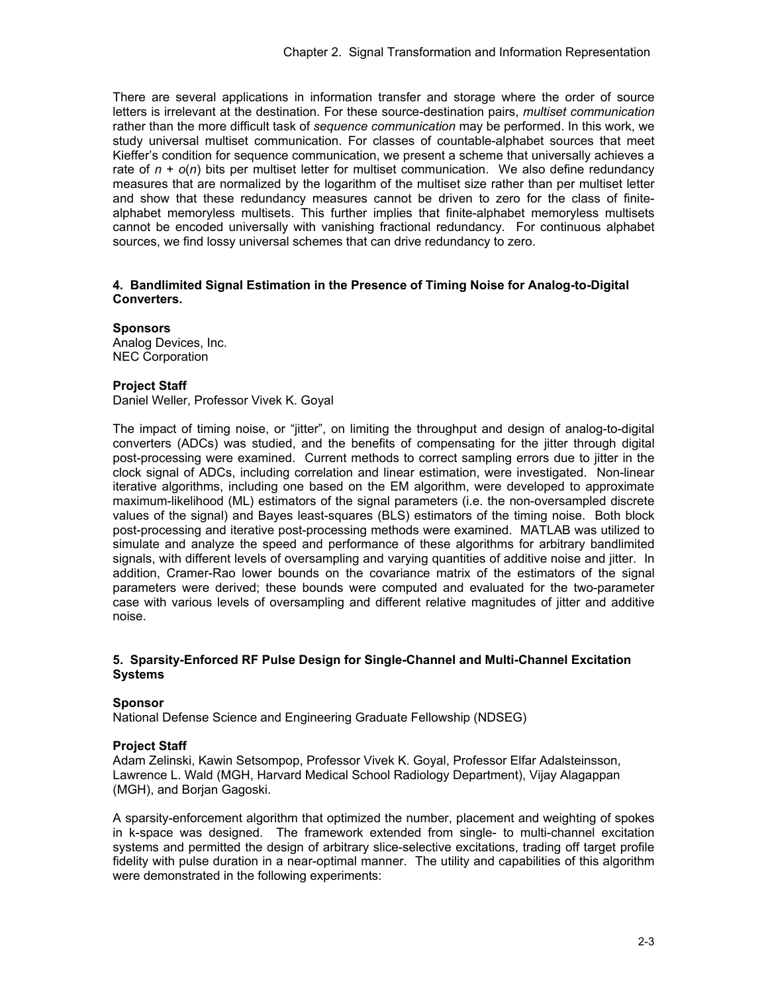There are several applications in information transfer and storage where the order of source letters is irrelevant at the destination. For these source-destination pairs, *multiset communication* rather than the more difficult task of *sequence communication* may be performed. In this work, we study universal multiset communication. For classes of countable-alphabet sources that meet Kieffer's condition for sequence communication, we present a scheme that universally achieves a rate of  $n + o(n)$  bits per multiset letter for multiset communication. We also define redundancy measures that are normalized by the logarithm of the multiset size rather than per multiset letter and show that these redundancy measures cannot be driven to zero for the class of finitealphabet memoryless multisets. This further implies that finite-alphabet memoryless multisets cannot be encoded universally with vanishing fractional redundancy. For continuous alphabet sources, we find lossy universal schemes that can drive redundancy to zero.

#### **4. Bandlimited Signal Estimation in the Presence of Timing Noise for Analog-to-Digital Converters.**

**Sponsors**  Analog Devices, Inc.

NEC Corporation

# **Project Staff**

Daniel Weller, Professor Vivek K. Goyal

The impact of timing noise, or "jitter", on limiting the throughput and design of analog-to-digital converters (ADCs) was studied, and the benefits of compensating for the jitter through digital post-processing were examined. Current methods to correct sampling errors due to jitter in the clock signal of ADCs, including correlation and linear estimation, were investigated. Non-linear iterative algorithms, including one based on the EM algorithm, were developed to approximate maximum-likelihood (ML) estimators of the signal parameters (i.e. the non-oversampled discrete values of the signal) and Bayes least-squares (BLS) estimators of the timing noise. Both block post-processing and iterative post-processing methods were examined. MATLAB was utilized to simulate and analyze the speed and performance of these algorithms for arbitrary bandlimited signals, with different levels of oversampling and varying quantities of additive noise and jitter. In addition, Cramer-Rao lower bounds on the covariance matrix of the estimators of the signal parameters were derived; these bounds were computed and evaluated for the two-parameter case with various levels of oversampling and different relative magnitudes of jitter and additive noise.

# **5. Sparsity-Enforced RF Pulse Design for Single-Channel and Multi-Channel Excitation Systems**

# **Sponsor**

National Defense Science and Engineering Graduate Fellowship (NDSEG)

# **Project Staff**

Adam Zelinski, Kawin Setsompop, Professor Vivek K. Goyal, Professor Elfar Adalsteinsson, Lawrence L. Wald (MGH, Harvard Medical School Radiology Department), Vijay Alagappan (MGH), and Borjan Gagoski.

A sparsity-enforcement algorithm that optimized the number, placement and weighting of spokes in k-space was designed. The framework extended from single- to multi-channel excitation systems and permitted the design of arbitrary slice-selective excitations, trading off target profile fidelity with pulse duration in a near-optimal manner. The utility and capabilities of this algorithm were demonstrated in the following experiments: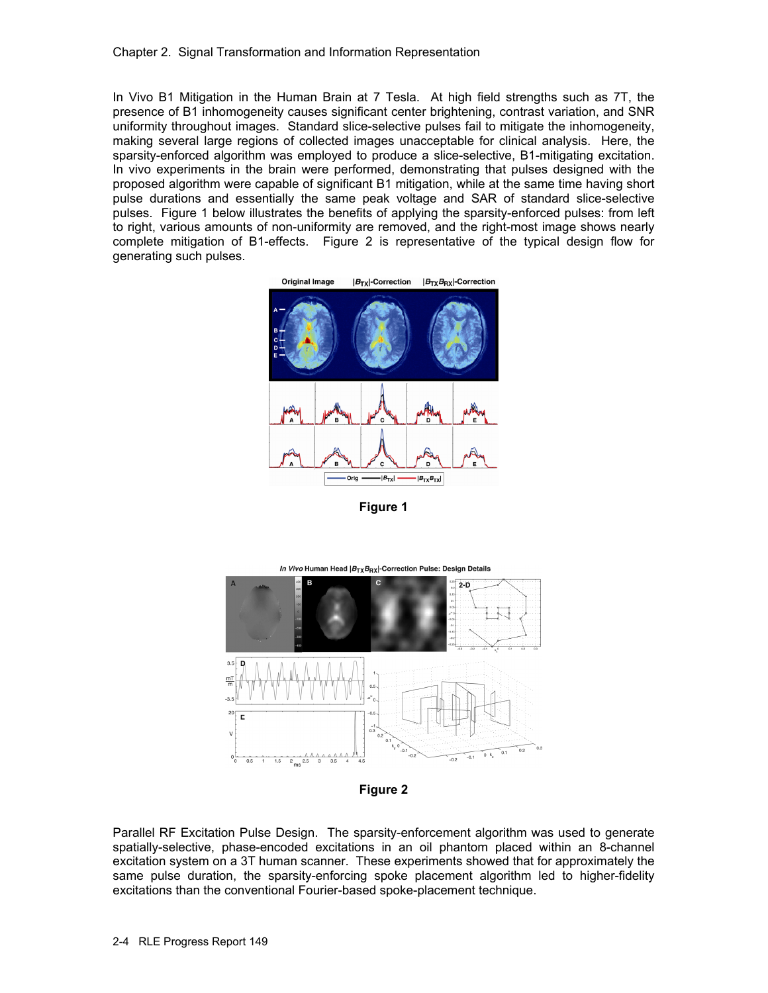In Vivo B1 Mitigation in the Human Brain at 7 Tesla. At high field strengths such as 7T, the presence of B1 inhomogeneity causes significant center brightening, contrast variation, and SNR uniformity throughout images. Standard slice-selective pulses fail to mitigate the inhomogeneity, making several large regions of collected images unacceptable for clinical analysis. Here, the sparsity-enforced algorithm was employed to produce a slice-selective, B1-mitigating excitation. In vivo experiments in the brain were performed, demonstrating that pulses designed with the proposed algorithm were capable of significant B1 mitigation, while at the same time having short pulse durations and essentially the same peak voltage and SAR of standard slice-selective pulses. Figure 1 below illustrates the benefits of applying the sparsity-enforced pulses: from left to right, various amounts of non-uniformity are removed, and the right-most image shows nearly complete mitigation of B1-effects. Figure 2 is representative of the typical design flow for generating such pulses.



**Figure 1** 



**Figure 2** 

Parallel RF Excitation Pulse Design. The sparsity-enforcement algorithm was used to generate spatially-selective, phase-encoded excitations in an oil phantom placed within an 8-channel excitation system on a 3T human scanner. These experiments showed that for approximately the same pulse duration, the sparsity-enforcing spoke placement algorithm led to higher-fidelity excitations than the conventional Fourier-based spoke-placement technique.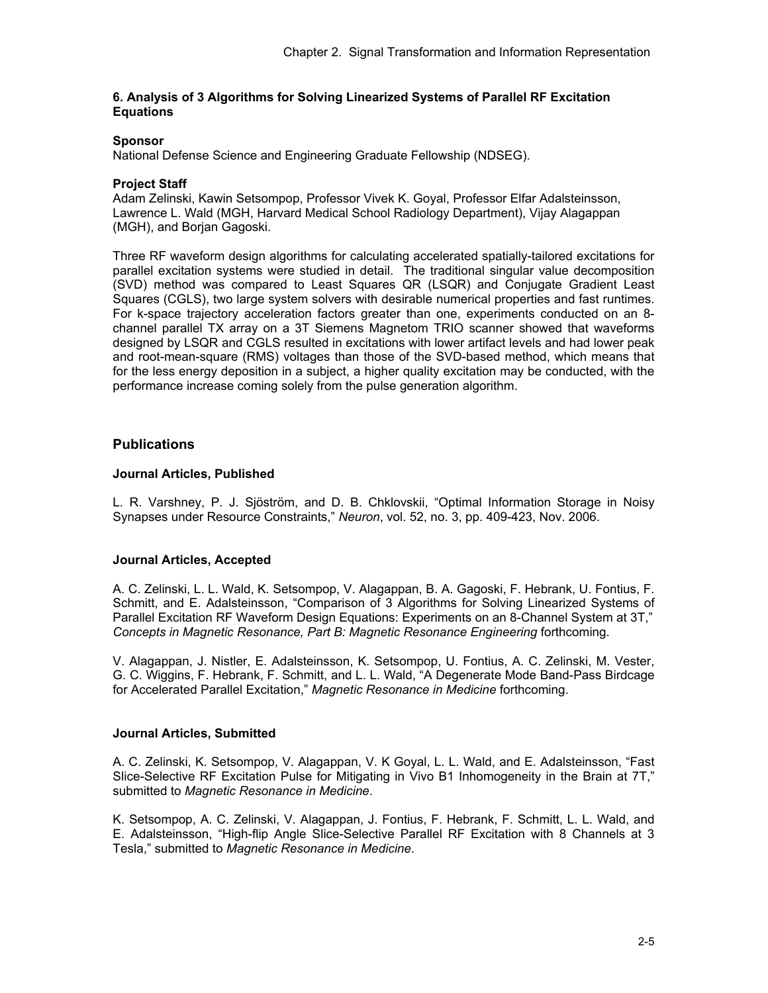# **6. Analysis of 3 Algorithms for Solving Linearized Systems of Parallel RF Excitation Equations**

# **Sponsor**

National Defense Science and Engineering Graduate Fellowship (NDSEG).

# **Project Staff**

Adam Zelinski, Kawin Setsompop, Professor Vivek K. Goyal, Professor Elfar Adalsteinsson, Lawrence L. Wald (MGH, Harvard Medical School Radiology Department), Vijay Alagappan (MGH), and Borjan Gagoski.

Three RF waveform design algorithms for calculating accelerated spatially-tailored excitations for parallel excitation systems were studied in detail. The traditional singular value decomposition (SVD) method was compared to Least Squares QR (LSQR) and Conjugate Gradient Least Squares (CGLS), two large system solvers with desirable numerical properties and fast runtimes. For k-space trajectory acceleration factors greater than one, experiments conducted on an 8 channel parallel TX array on a 3T Siemens Magnetom TRIO scanner showed that waveforms designed by LSQR and CGLS resulted in excitations with lower artifact levels and had lower peak and root-mean-square (RMS) voltages than those of the SVD-based method, which means that for the less energy deposition in a subject, a higher quality excitation may be conducted, with the performance increase coming solely from the pulse generation algorithm.

# **Publications**

# **Journal Articles, Published**

L. R. Varshney, P. J. Sjöström, and D. B. Chklovskii, "Optimal Information Storage in Noisy Synapses under Resource Constraints," *Neuron*, vol. 52, no. 3, pp. 409-423, Nov. 2006.

# **Journal Articles, Accepted**

A. C. Zelinski, L. L. Wald, K. Setsompop, V. Alagappan, B. A. Gagoski, F. Hebrank, U. Fontius, F. Schmitt, and E. Adalsteinsson, "Comparison of 3 Algorithms for Solving Linearized Systems of Parallel Excitation RF Waveform Design Equations: Experiments on an 8-Channel System at 3T," *Concepts in Magnetic Resonance, Part B: Magnetic Resonance Engineering* forthcoming.

V. Alagappan, J. Nistler, E. Adalsteinsson, K. Setsompop, U. Fontius, A. C. Zelinski, M. Vester, G. C. Wiggins, F. Hebrank, F. Schmitt, and L. L. Wald, "A Degenerate Mode Band-Pass Birdcage for Accelerated Parallel Excitation," *Magnetic Resonance in Medicine* forthcoming.

# **Journal Articles, Submitted**

A. C. Zelinski, K. Setsompop, V. Alagappan, V. K Goyal, L. L. Wald, and E. Adalsteinsson, "Fast Slice-Selective RF Excitation Pulse for Mitigating in Vivo B1 Inhomogeneity in the Brain at 7T," submitted to *Magnetic Resonance in Medicine*.

K. Setsompop, A. C. Zelinski, V. Alagappan, J. Fontius, F. Hebrank, F. Schmitt, L. L. Wald, and E. Adalsteinsson, "High-flip Angle Slice-Selective Parallel RF Excitation with 8 Channels at 3 Tesla," submitted to *Magnetic Resonance in Medicine*.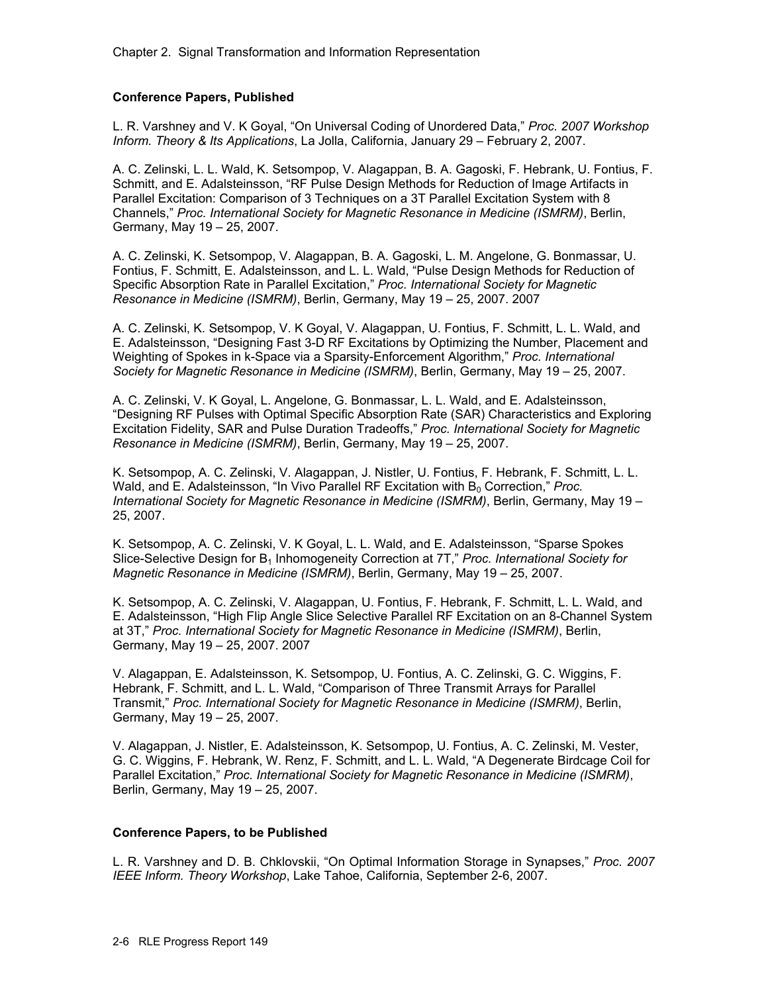# **Conference Papers, Published**

L. R. Varshney and V. K Goyal, "On Universal Coding of Unordered Data," *Proc. 2007 Workshop Inform. Theory & Its Applications*, La Jolla, California, January 29 – February 2, 2007.

A. C. Zelinski, L. L. Wald, K. Setsompop, V. Alagappan, B. A. Gagoski, F. Hebrank, U. Fontius, F. Schmitt, and E. Adalsteinsson, "RF Pulse Design Methods for Reduction of Image Artifacts in Parallel Excitation: Comparison of 3 Techniques on a 3T Parallel Excitation System with 8 Channels," *Proc. International Society for Magnetic Resonance in Medicine (ISMRM)*, Berlin, Germany, May 19 – 25, 2007.

A. C. Zelinski, K. Setsompop, V. Alagappan, B. A. Gagoski, L. M. Angelone, G. Bonmassar, U. Fontius, F. Schmitt, E. Adalsteinsson, and L. L. Wald, "Pulse Design Methods for Reduction of Specific Absorption Rate in Parallel Excitation," *Proc. International Society for Magnetic Resonance in Medicine (ISMRM)*, Berlin, Germany, May 19 – 25, 2007. 2007

A. C. Zelinski, K. Setsompop, V. K Goyal, V. Alagappan, U. Fontius, F. Schmitt, L. L. Wald, and E. Adalsteinsson, "Designing Fast 3-D RF Excitations by Optimizing the Number, Placement and Weighting of Spokes in k-Space via a Sparsity-Enforcement Algorithm," *Proc. International Society for Magnetic Resonance in Medicine (ISMRM)*, Berlin, Germany, May 19 – 25, 2007.

A. C. Zelinski, V. K Goyal, L. Angelone, G. Bonmassar, L. L. Wald, and E. Adalsteinsson, "Designing RF Pulses with Optimal Specific Absorption Rate (SAR) Characteristics and Exploring Excitation Fidelity, SAR and Pulse Duration Tradeoffs," *Proc. International Society for Magnetic Resonance in Medicine (ISMRM)*, Berlin, Germany, May 19 – 25, 2007.

K. Setsompop, A. C. Zelinski, V. Alagappan, J. Nistler, U. Fontius, F. Hebrank, F. Schmitt, L. L. Wald, and E. Adalsteinsson, "In Vivo Parallel RF Excitation with B<sub>0</sub> Correction," *Proc. International Society for Magnetic Resonance in Medicine (ISMRM)*, Berlin, Germany, May 19 – 25, 2007.

K. Setsompop, A. C. Zelinski, V. K Goyal, L. L. Wald, and E. Adalsteinsson, "Sparse Spokes Slice-Selective Design for B<sub>1</sub> Inhomogeneity Correction at 7T," *Proc. International Society for Magnetic Resonance in Medicine (ISMRM)*, Berlin, Germany, May 19 – 25, 2007.

K. Setsompop, A. C. Zelinski, V. Alagappan, U. Fontius, F. Hebrank, F. Schmitt, L. L. Wald, and E. Adalsteinsson, "High Flip Angle Slice Selective Parallel RF Excitation on an 8-Channel System at 3T," *Proc. International Society for Magnetic Resonance in Medicine (ISMRM)*, Berlin, Germany, May 19 – 25, 2007. 2007

V. Alagappan, E. Adalsteinsson, K. Setsompop, U. Fontius, A. C. Zelinski, G. C. Wiggins, F. Hebrank, F. Schmitt, and L. L. Wald, "Comparison of Three Transmit Arrays for Parallel Transmit," *Proc. International Society for Magnetic Resonance in Medicine (ISMRM)*, Berlin, Germany, May 19 – 25, 2007.

V. Alagappan, J. Nistler, E. Adalsteinsson, K. Setsompop, U. Fontius, A. C. Zelinski, M. Vester, G. C. Wiggins, F. Hebrank, W. Renz, F. Schmitt, and L. L. Wald, "A Degenerate Birdcage Coil for Parallel Excitation," *Proc. International Society for Magnetic Resonance in Medicine (ISMRM)*, Berlin, Germany, May 19 – 25, 2007.

# **Conference Papers, to be Published**

L. R. Varshney and D. B. Chklovskii, "On Optimal Information Storage in Synapses," *Proc. 2007 IEEE Inform. Theory Workshop*, Lake Tahoe, California, September 2-6, 2007.